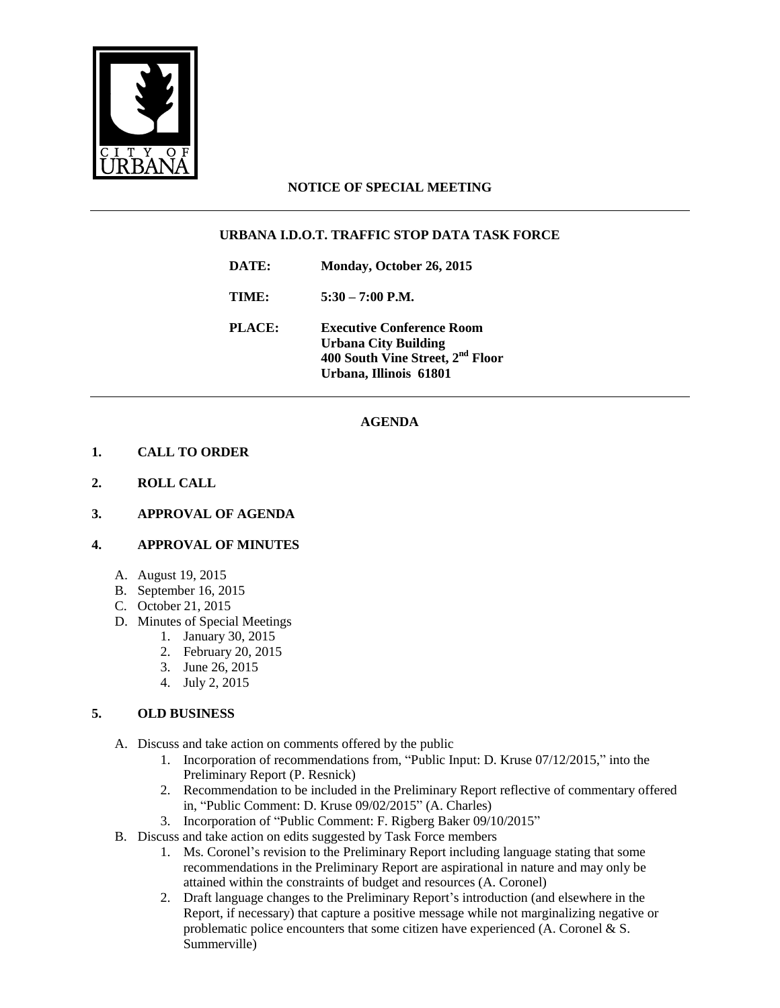

## **NOTICE OF SPECIAL MEETING**

## **URBANA I.D.O.T. TRAFFIC STOP DATA TASK FORCE**

**DATE: Monday, October 26, 2015**

**TIME: 5:30 – 7:00 P.M.**

**PLACE: Executive Conference Room Urbana City Building 400 South Vine Street, 2nd Floor Urbana, Illinois 61801**

# **AGENDA**

## **1. CALL TO ORDER**

- **2. ROLL CALL**
- **3. APPROVAL OF AGENDA**

#### **4. APPROVAL OF MINUTES**

- A. August 19, 2015
- B. September 16, 2015
- C. October 21, 2015
- D. Minutes of Special Meetings
	- 1. January 30, 2015
	- 2. February 20, 2015
	- 3. June 26, 2015
	- 4. July 2, 2015

#### **5. OLD BUSINESS**

- A. Discuss and take action on comments offered by the public
	- 1. Incorporation of recommendations from, "Public Input: D. Kruse 07/12/2015," into the Preliminary Report (P. Resnick)
	- 2. Recommendation to be included in the Preliminary Report reflective of commentary offered in, "Public Comment: D. Kruse 09/02/2015" (A. Charles)
	- 3. Incorporation of "Public Comment: F. Rigberg Baker 09/10/2015"
- B. Discuss and take action on edits suggested by Task Force members
	- 1. Ms. Coronel's revision to the Preliminary Report including language stating that some recommendations in the Preliminary Report are aspirational in nature and may only be attained within the constraints of budget and resources (A. Coronel)
	- 2. Draft language changes to the Preliminary Report's introduction (and elsewhere in the Report, if necessary) that capture a positive message while not marginalizing negative or problematic police encounters that some citizen have experienced (A. Coronel & S. Summerville)